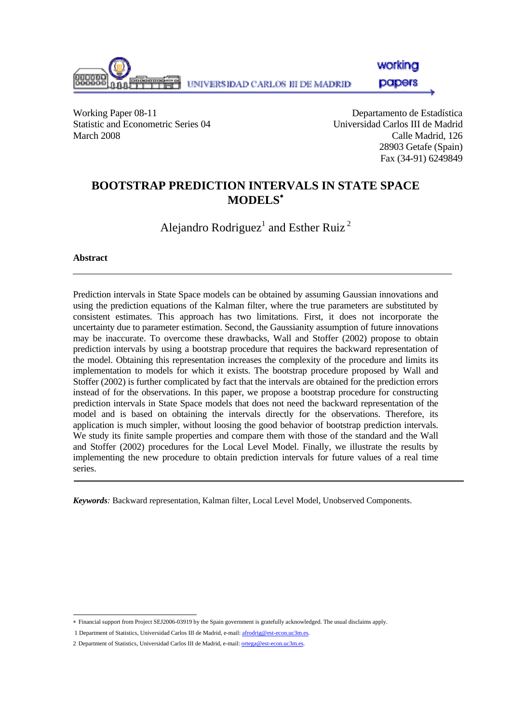

workina

**papers** 

Working Paper 08-11 Departamento de Estadística Statistic and Econometric Series 04 Universidad Carlos III de Madrid March 2008 Calle Madrid, 126

 28903 Getafe (Spain) Fax (34-91) 6249849

### **BOOTSTRAP PREDICTION INTERVALS IN STATE SPACE MODELS**<sup>∗</sup>

Alejandro Rodriguez<sup>1</sup> and Esther Ruiz<sup>2</sup>

#### **Abstract**

Prediction intervals in State Space models can be obtained by assuming Gaussian innovations and using the prediction equations of the Kalman filter, where the true parameters are substituted by consistent estimates. This approach has two limitations. First, it does not incorporate the uncertainty due to parameter estimation. Second, the Gaussianity assumption of future innovations may be inaccurate. To overcome these drawbacks, Wall and Stoffer (2002) propose to obtain prediction intervals by using a bootstrap procedure that requires the backward representation of the model. Obtaining this representation increases the complexity of the procedure and limits its implementation to models for which it exists. The bootstrap procedure proposed by Wall and Stoffer (2002) is further complicated by fact that the intervals are obtained for the prediction errors instead of for the observations. In this paper, we propose a bootstrap procedure for constructing prediction intervals in State Space models that does not need the backward representation of the model and is based on obtaining the intervals directly for the observations. Therefore, its application is much simpler, without loosing the good behavior of bootstrap prediction intervals. We study its finite sample properties and compare them with those of the standard and the Wall and Stoffer (2002) procedures for the Local Level Model. Finally, we illustrate the results by implementing the new procedure to obtain prediction intervals for future values of a real time series.

*Keywords:* Backward representation, Kalman filter, Local Level Model, Unobserved Components.

 ∗ Financial support from Project SEJ2006-03919 by the Spain government is gratefully acknowledged. The usual disclaims apply.

 <sup>1</sup> Department of Statistics, Universidad Carlos III de Madrid, e-mail: afrodrig@est-econ.uc3m.es.

<sup>2</sup> Department of Statistics, Universidad Carlos III de Madrid, e-mail: ortega@est-econ.uc3m.es.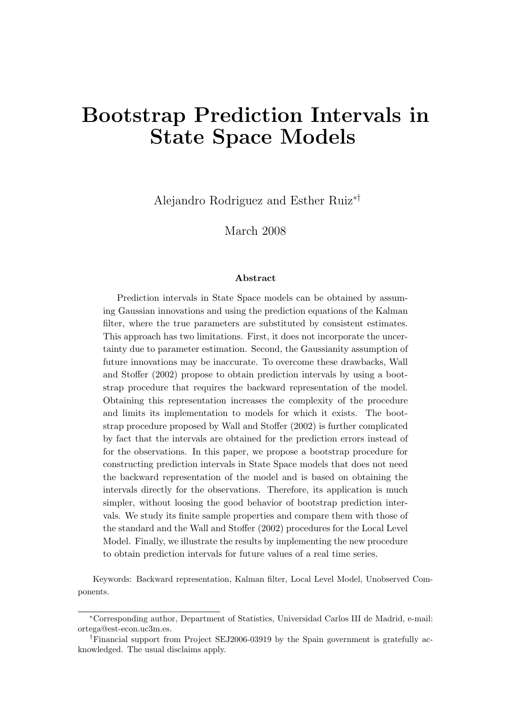# Bootstrap Prediction Intervals in State Space Models

Alejandro Rodriguez and Esther Ruiz∗†

March 2008

#### Abstract

Prediction intervals in State Space models can be obtained by assuming Gaussian innovations and using the prediction equations of the Kalman filter, where the true parameters are substituted by consistent estimates. This approach has two limitations. First, it does not incorporate the uncertainty due to parameter estimation. Second, the Gaussianity assumption of future innovations may be inaccurate. To overcome these drawbacks, [Wall](#page-26-0) [and Stoffer](#page-26-0) [\(2002\)](#page-26-0) propose to obtain prediction intervals by using a bootstrap procedure that requires the backward representation of the model. Obtaining this representation increases the complexity of the procedure and limits its implementation to models for which it exists. The bootstrap procedure proposed by [Wall and Stoffer](#page-26-0) [\(2002\)](#page-26-0) is further complicated by fact that the intervals are obtained for the prediction errors instead of for the observations. In this paper, we propose a bootstrap procedure for constructing prediction intervals in State Space models that does not need the backward representation of the model and is based on obtaining the intervals directly for the observations. Therefore, its application is much simpler, without loosing the good behavior of bootstrap prediction intervals. We study its finite sample properties and compare them with those of the standard and the [Wall and Stoffer](#page-26-0) [\(2002\)](#page-26-0) procedures for the Local Level Model. Finally, we illustrate the results by implementing the new procedure to obtain prediction intervals for future values of a real time series.

Keywords: Backward representation, Kalman filter, Local Level Model, Unobserved Components.

<sup>∗</sup>Corresponding author, Department of Statistics, Universidad Carlos III de Madrid, e-mail: ortega@est-econ.uc3m.es.

<sup>†</sup>Financial support from Project SEJ2006-03919 by the Spain government is gratefully acknowledged. The usual disclaims apply.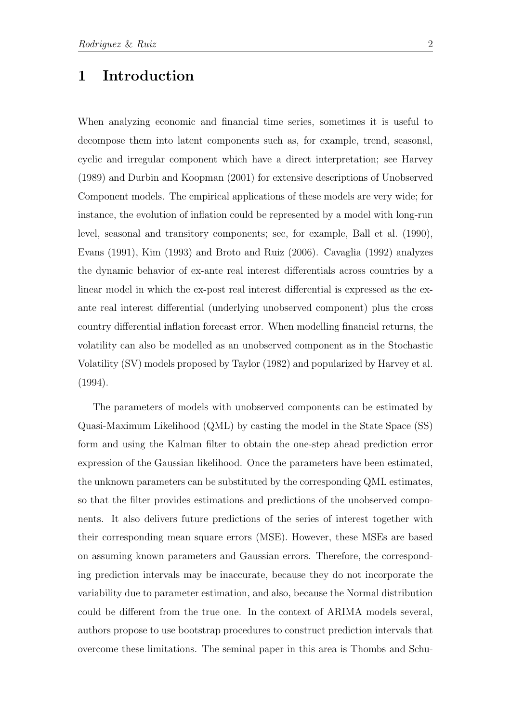# 1 Introduction

When analyzing economic and financial time series, sometimes it is useful to decompose them into latent components such as, for example, trend, seasonal, cyclic and irregular component which have a direct interpretation; see [Harvey](#page-25-0) [\(1989\)](#page-25-0) and [Durbin and Koopman](#page-25-1) [\(2001\)](#page-25-1) for extensive descriptions of Unobserved Component models. The empirical applications of these models are very wide; for instance, the evolution of inflation could be represented by a model with long-run level, seasonal and transitory components; see, for example, [Ball et al.](#page-24-0) [\(1990\)](#page-24-0), [Evans](#page-25-2) [\(1991\)](#page-25-2), [Kim](#page-25-3) [\(1993\)](#page-25-3) and [Broto and Ruiz](#page-24-1) [\(2006\)](#page-24-1). [Cavaglia](#page-24-2) [\(1992\)](#page-24-2) analyzes the dynamic behavior of ex-ante real interest differentials across countries by a linear model in which the ex-post real interest differential is expressed as the exante real interest differential (underlying unobserved component) plus the cross country differential inflation forecast error. When modelling financial returns, the volatility can also be modelled as an unobserved component as in the Stochastic Volatility (SV) models proposed by [Taylor](#page-25-4) [\(1982\)](#page-25-4) and popularized by [Harvey et al.](#page-25-5) [\(1994\)](#page-25-5).

The parameters of models with unobserved components can be estimated by Quasi-Maximum Likelihood (QML) by casting the model in the State Space (SS) form and using the Kalman filter to obtain the one-step ahead prediction error expression of the Gaussian likelihood. Once the parameters have been estimated, the unknown parameters can be substituted by the corresponding QML estimates, so that the filter provides estimations and predictions of the unobserved components. It also delivers future predictions of the series of interest together with their corresponding mean square errors (MSE). However, these MSEs are based on assuming known parameters and Gaussian errors. Therefore, the corresponding prediction intervals may be inaccurate, because they do not incorporate the variability due to parameter estimation, and also, because the Normal distribution could be different from the true one. In the context of ARIMA models several, authors propose to use bootstrap procedures to construct prediction intervals that overcome these limitations. The seminal paper in this area is [Thombs and Schu-](#page-25-6)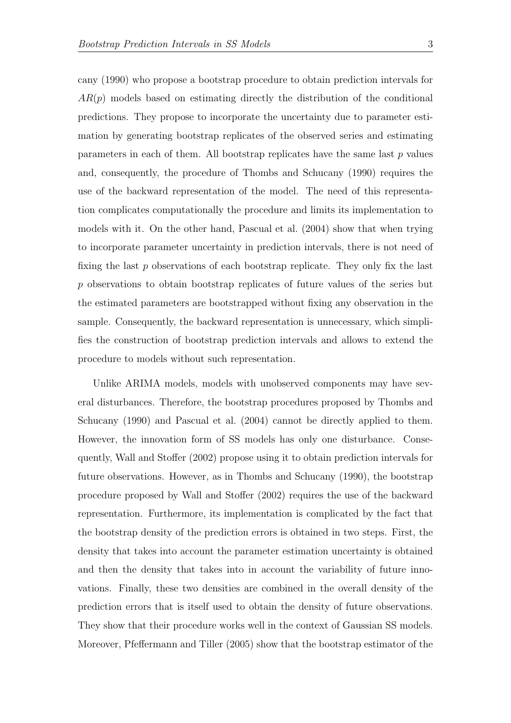[cany](#page-25-6) [\(1990\)](#page-25-6) who propose a bootstrap procedure to obtain prediction intervals for  $AR(p)$  models based on estimating directly the distribution of the conditional predictions. They propose to incorporate the uncertainty due to parameter estimation by generating bootstrap replicates of the observed series and estimating parameters in each of them. All bootstrap replicates have the same last  $p$  values and, consequently, the procedure of [Thombs and Schucany](#page-25-6) [\(1990\)](#page-25-6) requires the use of the backward representation of the model. The need of this representation complicates computationally the procedure and limits its implementation to models with it. On the other hand, [Pascual et al.](#page-25-7) [\(2004\)](#page-25-7) show that when trying to incorporate parameter uncertainty in prediction intervals, there is not need of fixing the last p observations of each bootstrap replicate. They only fix the last p observations to obtain bootstrap replicates of future values of the series but the estimated parameters are bootstrapped without fixing any observation in the sample. Consequently, the backward representation is unnecessary, which simplifies the construction of bootstrap prediction intervals and allows to extend the procedure to models without such representation.

Unlike ARIMA models, models with unobserved components may have several disturbances. Therefore, the bootstrap procedures proposed by [Thombs and](#page-25-6) [Schucany](#page-25-6) [\(1990\)](#page-25-6) and [Pascual et al.](#page-25-7) [\(2004\)](#page-25-7) cannot be directly applied to them. However, the innovation form of SS models has only one disturbance. Consequently, [Wall and Stoffer](#page-26-0) [\(2002\)](#page-26-0) propose using it to obtain prediction intervals for future observations. However, as in [Thombs and Schucany](#page-25-6) [\(1990\)](#page-25-6), the bootstrap procedure proposed by [Wall and Stoffer](#page-26-0) [\(2002\)](#page-26-0) requires the use of the backward representation. Furthermore, its implementation is complicated by the fact that the bootstrap density of the prediction errors is obtained in two steps. First, the density that takes into account the parameter estimation uncertainty is obtained and then the density that takes into in account the variability of future innovations. Finally, these two densities are combined in the overall density of the prediction errors that is itself used to obtain the density of future observations. They show that their procedure works well in the context of Gaussian SS models. Moreover, [Pfeffermann and Tiller](#page-25-8) [\(2005\)](#page-25-8) show that the bootstrap estimator of the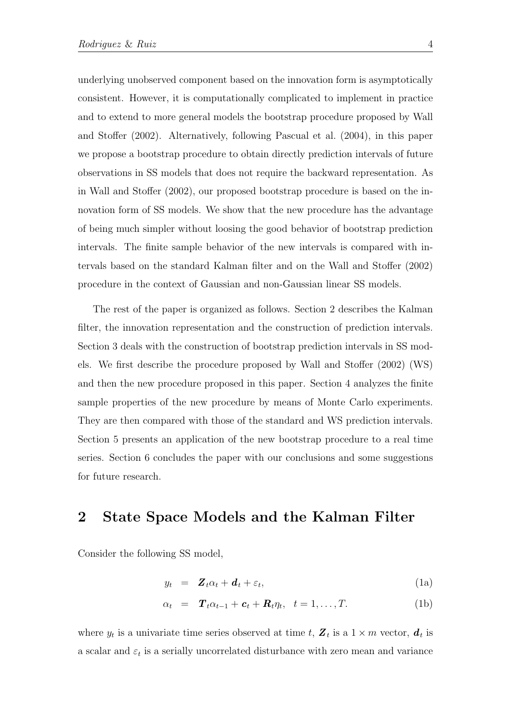underlying unobserved component based on the innovation form is asymptotically consistent. However, it is computationally complicated to implement in practice and to extend to more general models the bootstrap procedure proposed by [Wall](#page-26-0) [and Stoffer](#page-26-0) [\(2002\)](#page-26-0). Alternatively, following [Pascual et al.](#page-25-7) [\(2004\)](#page-25-7), in this paper we propose a bootstrap procedure to obtain directly prediction intervals of future observations in SS models that does not require the backward representation. As in [Wall and Stoffer](#page-26-0) [\(2002\)](#page-26-0), our proposed bootstrap procedure is based on the innovation form of SS models. We show that the new procedure has the advantage of being much simpler without loosing the good behavior of bootstrap prediction intervals. The finite sample behavior of the new intervals is compared with intervals based on the standard Kalman filter and on the [Wall and Stoffer](#page-26-0) [\(2002\)](#page-26-0) procedure in the context of Gaussian and non-Gaussian linear SS models.

The rest of the paper is organized as follows. Section 2 describes the Kalman filter, the innovation representation and the construction of prediction intervals. Section 3 deals with the construction of bootstrap prediction intervals in SS models. We first describe the procedure proposed by [Wall and Stoffer](#page-26-0) [\(2002\)](#page-26-0) (WS) and then the new procedure proposed in this paper. Section 4 analyzes the finite sample properties of the new procedure by means of Monte Carlo experiments. They are then compared with those of the standard and WS prediction intervals. Section 5 presents an application of the new bootstrap procedure to a real time series. Section 6 concludes the paper with our conclusions and some suggestions for future research.

### 2 State Space Models and the Kalman Filter

Consider the following SS model,

<span id="page-4-0"></span>
$$
y_t = \mathbf{Z}_t \alpha_t + \mathbf{d}_t + \varepsilon_t, \tag{1a}
$$

$$
\alpha_t = \mathbf{T}_t \alpha_{t-1} + \mathbf{c}_t + \mathbf{R}_t \eta_t, \quad t = 1, \dots, T. \tag{1b}
$$

where  $y_t$  is a univariate time series observed at time t,  $\mathbf{Z}_t$  is a  $1 \times m$  vector,  $\boldsymbol{d}_t$  is a scalar and  $\varepsilon_t$  is a serially uncorrelated disturbance with zero mean and variance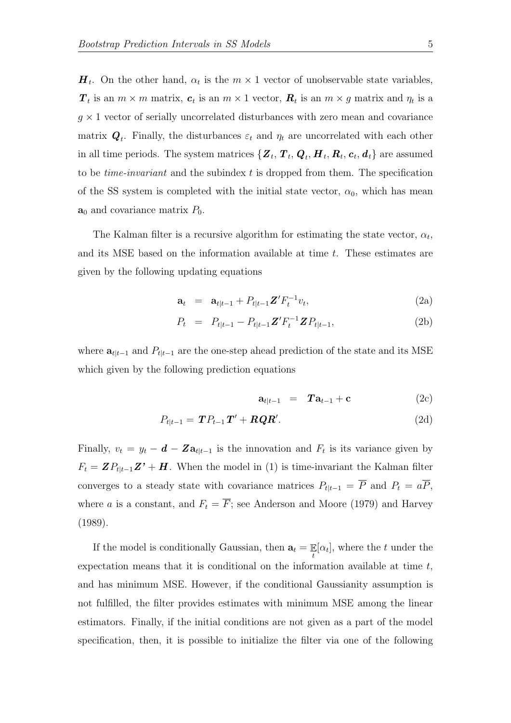$\boldsymbol{H}_t$ . On the other hand,  $\alpha_t$  is the  $m \times 1$  vector of unobservable state variables,  $T_t$  is an  $m \times m$  matrix,  $c_t$  is an  $m \times 1$  vector,  $\mathbf{R}_t$  is an  $m \times g$  matrix and  $\eta_t$  is a  $g \times 1$  vector of serially uncorrelated disturbances with zero mean and covariance matrix  $Q_t$ . Finally, the disturbances  $\varepsilon_t$  and  $\eta_t$  are uncorrelated with each other in all time periods. The system matrices  $\{ \bm{Z}_t, \bm{T}_t, \bm{Q}_t, \bm{H}_t, \bm{R}_t, \bm{c}_t, \bm{d}_t \}$  are assumed to be *time-invariant* and the subindex  $t$  is dropped from them. The specification of the SS system is completed with the initial state vector,  $\alpha_0$ , which has mean  $a_0$  and covariance matrix  $P_0$ .

The Kalman filter is a recursive algorithm for estimating the state vector,  $\alpha_t$ , and its MSE based on the information available at time t. These estimates are given by the following updating equations

<span id="page-5-1"></span>
$$
\mathbf{a}_t = \mathbf{a}_{t|t-1} + P_{t|t-1} \mathbf{Z}' F_t^{-1} v_t, \tag{2a}
$$

$$
P_t = P_{t|t-1} - P_{t|t-1} \mathbf{Z}' F_t^{-1} \mathbf{Z} P_{t|t-1},
$$
\n(2b)

where  $a_{t|t-1}$  and  $P_{t|t-1}$  are the one-step ahead prediction of the state and its MSE which given by the following prediction equations

<span id="page-5-0"></span>
$$
\mathbf{a}_{t|t-1} = \mathbf{T} \mathbf{a}_{t-1} + \mathbf{c} \tag{2c}
$$

$$
P_{t|t-1} = \boldsymbol{TP}_{t-1}\boldsymbol{T}' + \boldsymbol{R}\boldsymbol{Q}\boldsymbol{R}'. \tag{2d}
$$

Finally,  $v_t = y_t - d - Za_{t|t-1}$  is the innovation and  $F_t$  is its variance given by  $F_t = \mathbf{Z} P_{t|t-1} \mathbf{Z}' + \mathbf{H}$ . When the model in [\(1\)](#page-4-0) is time-invariant the Kalman filter converges to a steady state with covariance matrices  $P_{t|t-1} = \overline{P}$  and  $P_t = a\overline{P}$ , where a is a constant, and  $F_t = \overline{F}$ ; see [Anderson and Moore](#page-24-3) [\(1979\)](#page-24-3) and [Harvey](#page-25-0) [\(1989\)](#page-25-0).

If the model is conditionally Gaussian, then  $\mathbf{a}_t = \mathbb{E}[\alpha_t]$ , where the t under the expectation means that it is conditional on the information available at time  $t$ , and has minimum MSE. However, if the conditional Gaussianity assumption is not fulfilled, the filter provides estimates with minimum MSE among the linear estimators. Finally, if the initial conditions are not given as a part of the model specification, then, it is possible to initialize the filter via one of the following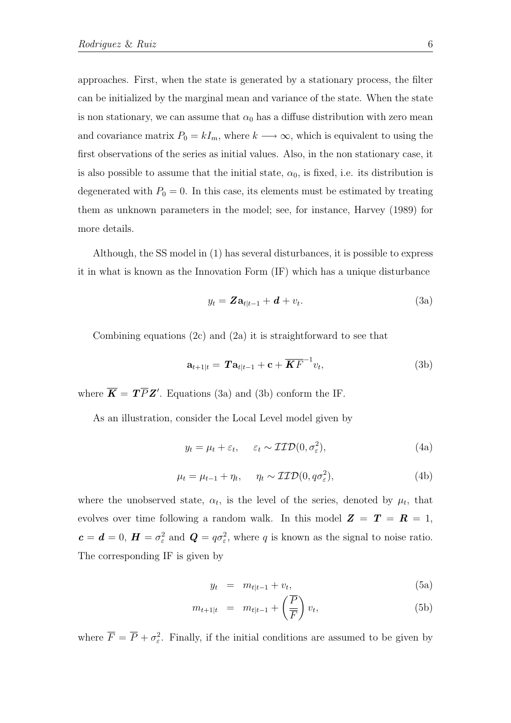approaches. First, when the state is generated by a stationary process, the filter can be initialized by the marginal mean and variance of the state. When the state is non stationary, we can assume that  $\alpha_0$  has a diffuse distribution with zero mean and covariance matrix  $P_0 = kI_m$ , where  $k \longrightarrow \infty$ , which is equivalent to using the first observations of the series as initial values. Also, in the non stationary case, it is also possible to assume that the initial state,  $\alpha_0$ , is fixed, i.e. its distribution is degenerated with  $P_0 = 0$ . In this case, its elements must be estimated by treating them as unknown parameters in the model; see, for instance, [Harvey](#page-25-0) [\(1989\)](#page-25-0) for more details.

Although, the SS model in [\(1\)](#page-4-0) has several disturbances, it is possible to express it in what is known as the Innovation Form (IF) which has a unique disturbance

<span id="page-6-2"></span><span id="page-6-0"></span>
$$
y_t = \mathbf{Z} \mathbf{a}_{t|t-1} + \mathbf{d} + v_t. \tag{3a}
$$

Combining equations [\(2c\)](#page-5-0) and [\(2a\)](#page-5-1) it is straightforward to see that

<span id="page-6-3"></span><span id="page-6-1"></span>
$$
\mathbf{a}_{t+1|t} = \boldsymbol{T} \mathbf{a}_{t|t-1} + \mathbf{c} + \overline{\boldsymbol{K}F}^{-1} v_t,
$$
 (3b)

where  $\overline{K} = T\overline{P}Z'$ . Equations [\(3a\)](#page-6-0) and [\(3b\)](#page-6-1) conform the IF.

As an illustration, consider the Local Level model given by

$$
y_t = \mu_t + \varepsilon_t, \quad \varepsilon_t \sim \mathcal{IID}(0, \sigma_\varepsilon^2), \tag{4a}
$$

$$
\mu_t = \mu_{t-1} + \eta_t, \quad \eta_t \sim \mathcal{IID}(0, q\sigma_\varepsilon^2), \tag{4b}
$$

where the unobserved state,  $\alpha_t$ , is the level of the series, denoted by  $\mu_t$ , that evolves over time following a random walk. In this model  $\mathbf{Z} = \mathbf{T} = \mathbf{R} = 1$ ,  $c = d = 0$ ,  $\mathbf{H} = \sigma_{\varepsilon}^2$  and  $\mathbf{Q} = q\sigma_{\varepsilon}^2$ , where q is known as the signal to noise ratio. The corresponding IF is given by

$$
y_t = m_{t|t-1} + v_t,
$$
\n(5a)

$$
m_{t+1|t} = m_{t|t-1} + \left(\frac{\overline{P}}{\overline{F}}\right)v_t,
$$
\n(5b)

where  $\overline{F} = \overline{P} + \sigma_{\varepsilon}^2$ . Finally, if the initial conditions are assumed to be given by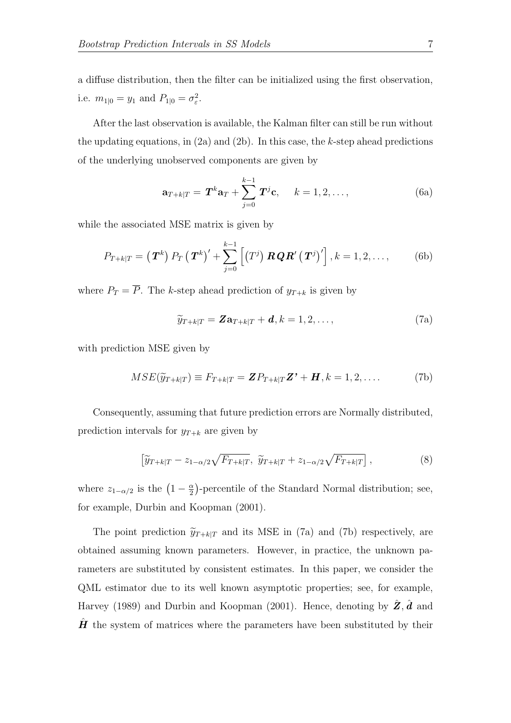a diffuse distribution, then the filter can be initialized using the first observation, i.e.  $m_{1|0} = y_1$  and  $P_{1|0} = \sigma_{\varepsilon}^2$ .

After the last observation is available, the Kalman filter can still be run without the updating equations, in  $(2a)$  and  $(2b)$ . In this case, the k-step ahead predictions of the underlying unobserved components are given by

$$
\mathbf{a}_{T+k|T} = \mathbf{T}^k \mathbf{a}_T + \sum_{j=0}^{k-1} \mathbf{T}^j \mathbf{c}, \quad k = 1, 2, \dots,
$$
 (6a)

while the associated MSE matrix is given by

$$
P_{T+k|T} = (\boldsymbol{T}^k) P_T (\boldsymbol{T}^k)' + \sum_{j=0}^{k-1} \left[ (T^j) \boldsymbol{R} \boldsymbol{Q} \boldsymbol{R}' (\boldsymbol{T}^j)' \right], k = 1, 2, ..., \qquad (6b)
$$

where  $P_T = \overline{P}$ . The k-step ahead prediction of  $y_{T+k}$  is given by

<span id="page-7-0"></span>
$$
\widetilde{y}_{T+k|T} = \mathbf{Z} \mathbf{a}_{T+k|T} + \mathbf{d}, k = 1, 2, \dots,
$$
\n(7a)

with prediction MSE given by

<span id="page-7-1"></span>
$$
MSE(\widetilde{y}_{T+k|T}) \equiv F_{T+k|T} = \mathbf{Z} P_{T+k|T} \mathbf{Z'} + \mathbf{H}, k = 1, 2, \dots
$$
 (7b)

Consequently, assuming that future prediction errors are Normally distributed, prediction intervals for  $y_{T+k}$  are given by

$$
\left[\widetilde{y}_{T+k|T} - z_{1-\alpha/2}\sqrt{F_{T+k|T}}, \ \widetilde{y}_{T+k|T} + z_{1-\alpha/2}\sqrt{F_{T+k|T}}\right],\tag{8}
$$

where  $z_{1-\alpha/2}$  is the  $\left(1-\frac{\alpha}{2}\right)$  $\frac{\alpha}{2}$ )-percentile of the Standard Normal distribution; see, for example, [Durbin and Koopman](#page-25-1) [\(2001\)](#page-25-1).

The point prediction  $\tilde{y}_{T+k|T}$  and its MSE in [\(7a\)](#page-7-0) and [\(7b\)](#page-7-1) respectively, are obtained assuming known parameters. However, in practice, the unknown parameters are substituted by consistent estimates. In this paper, we consider the QML estimator due to its well known asymptotic properties; see, for example, [Harvey](#page-25-0) [\(1989\)](#page-25-0) and [Durbin and Koopman](#page-25-1) [\(2001\)](#page-25-1). Hence, denoting by  $\hat{Z}$ ,  $\hat{d}$  and  $\hat{H}$  the system of matrices where the parameters have been substituted by their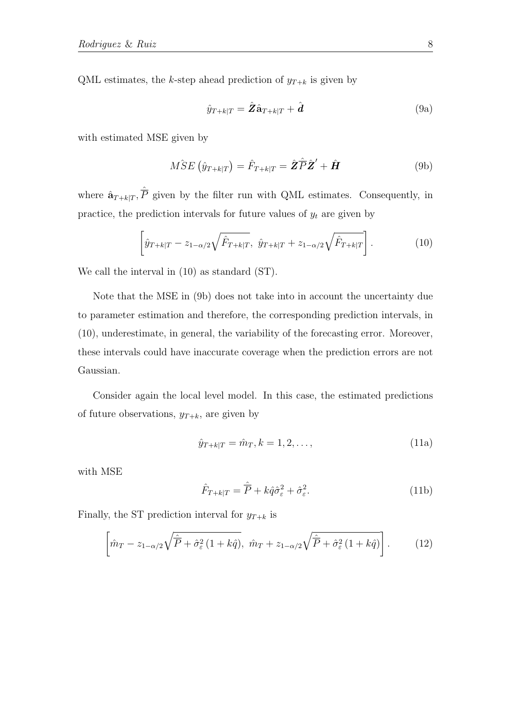QML estimates, the k-step ahead prediction of  $y_{T+k}$  is given by

$$
\hat{y}_{T+k|T} = \hat{\mathbf{Z}} \hat{\mathbf{a}}_{T+k|T} + \hat{\mathbf{d}} \tag{9a}
$$

with estimated MSE given by

<span id="page-8-1"></span>
$$
\hat{MSE}\left(\hat{y}_{T+k|T}\right) = \hat{F}_{T+k|T} = \hat{\mathbf{Z}}\hat{\mathbf{P}}\hat{\mathbf{Z}}' + \hat{\mathbf{H}}\tag{9b}
$$

where  $\hat{\mathbf{a}}_{T+k|T}$ ,  $\hat{\overline{P}}$  given by the filter run with QML estimates. Consequently, in practice, the prediction intervals for future values of  $y_t$  are given by

<span id="page-8-0"></span>
$$
\left[\hat{y}_{T+k|T} - z_{1-\alpha/2}\sqrt{\hat{F}_{T+k|T}}, \ \hat{y}_{T+k|T} + z_{1-\alpha/2}\sqrt{\hat{F}_{T+k|T}}\right].
$$
 (10)

We call the interval in [\(10\)](#page-8-0) as standard (ST).

Note that the MSE in [\(9b\)](#page-8-1) does not take into in account the uncertainty due to parameter estimation and therefore, the corresponding prediction intervals, in [\(10\)](#page-8-0), underestimate, in general, the variability of the forecasting error. Moreover, these intervals could have inaccurate coverage when the prediction errors are not Gaussian.

Consider again the local level model. In this case, the estimated predictions of future observations,  $y_{T+k}$ , are given by

$$
\hat{y}_{T+k|T} = \hat{m}_T, k = 1, 2, \dots,
$$
\n(11a)

with MSE

$$
\hat{F}_{T+k|T} = \hat{\overline{P}} + k\hat{q}\hat{\sigma}_{\varepsilon}^2 + \hat{\sigma}_{\varepsilon}^2.
$$
\n(11b)

Finally, the ST prediction interval for  $y_{T+k}$  is

<span id="page-8-2"></span>
$$
\left[\hat{m}_T - z_{1-\alpha/2}\sqrt{\hat{P} + \hat{\sigma}_{\varepsilon}^2 (1 + k\hat{q})}, \ \hat{m}_T + z_{1-\alpha/2}\sqrt{\hat{P} + \hat{\sigma}_{\varepsilon}^2 (1 + k\hat{q})}\right].
$$
 (12)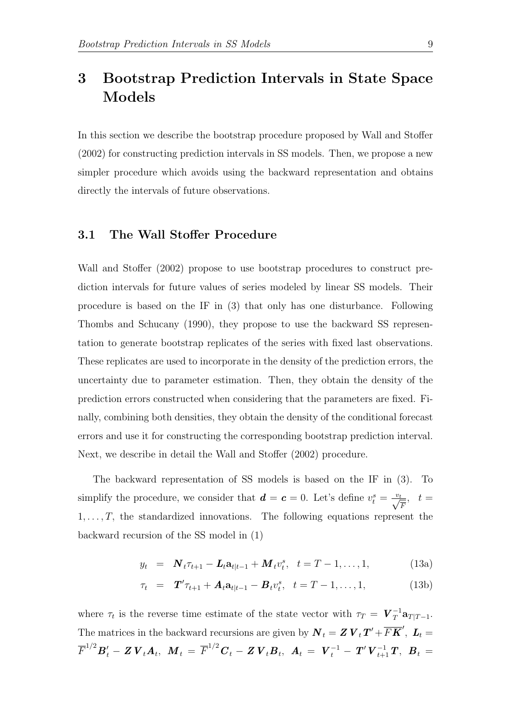# 3 Bootstrap Prediction Intervals in State Space Models

In this section we describe the bootstrap procedure proposed by [Wall and Stoffer](#page-26-0) [\(2002\)](#page-26-0) for constructing prediction intervals in SS models. Then, we propose a new simpler procedure which avoids using the backward representation and obtains directly the intervals of future observations.

#### 3.1 The Wall Stoffer Procedure

[Wall and Stoffer](#page-26-0) [\(2002\)](#page-26-0) propose to use bootstrap procedures to construct prediction intervals for future values of series modeled by linear SS models. Their procedure is based on the IF in [\(3\)](#page-6-2) that only has one disturbance. Following [Thombs and Schucany](#page-25-6) [\(1990\)](#page-25-6), they propose to use the backward SS representation to generate bootstrap replicates of the series with fixed last observations. These replicates are used to incorporate in the density of the prediction errors, the uncertainty due to parameter estimation. Then, they obtain the density of the prediction errors constructed when considering that the parameters are fixed. Finally, combining both densities, they obtain the density of the conditional forecast errors and use it for constructing the corresponding bootstrap prediction interval. Next, we describe in detail the [Wall and Stoffer](#page-26-0) [\(2002\)](#page-26-0) procedure.

The backward representation of SS models is based on the IF in [\(3\)](#page-6-2). To simplify the procedure, we consider that  $\boldsymbol{d} = \boldsymbol{c} = 0$ . Let's define  $v_t^s = \frac{v_t}{\sqrt{F}}, t =$  $1, \ldots, T$ , the standardized innovations. The following equations represent the backward recursion of the SS model in [\(1\)](#page-4-0)

<span id="page-9-0"></span>
$$
y_t = \mathbf{N}_t \tau_{t+1} - \mathbf{L}_t \mathbf{a}_{t|t-1} + \mathbf{M}_t v_t^s, \quad t = T - 1, \dots, 1,
$$
 (13a)

$$
\tau_t = \mathbf{T}' \tau_{t+1} + \mathbf{A}_t \mathbf{a}_{t|t-1} - \mathbf{B}_t v_t^s, \ \ t = T - 1, \dots, 1,
$$
\n(13b)

where  $\tau_t$  is the reverse time estimate of the state vector with  $\tau_T = \boldsymbol{V}_T^{-1} \mathbf{a}_{T|T-1}$ . The matrices in the backward recursions are given by  $\bm{N}_t = \bm{Z} \bm{V}_t \bm{T}' + \overline{F} \overline{K}'$ ,  $\bm{L}_t =$  $\overline{F}^{1/2} \overline{B}_t' - \overline{Z} \, \overline{V}_t \overline{A}_t, \ \ \overline{M}_t \, = \, \overline{F}^{1/2} \overline{C}_t - \overline{Z} \, \overline{V}_t \overline{B}_t, \ \ \overline{A}_t \, = \, \ \overline{V}_t^{-1} - \, \overline{T}' \, \overline{V}_{t+1}^{-1} \, \overline{T}, \ \ \overline{B}_t \, = \,$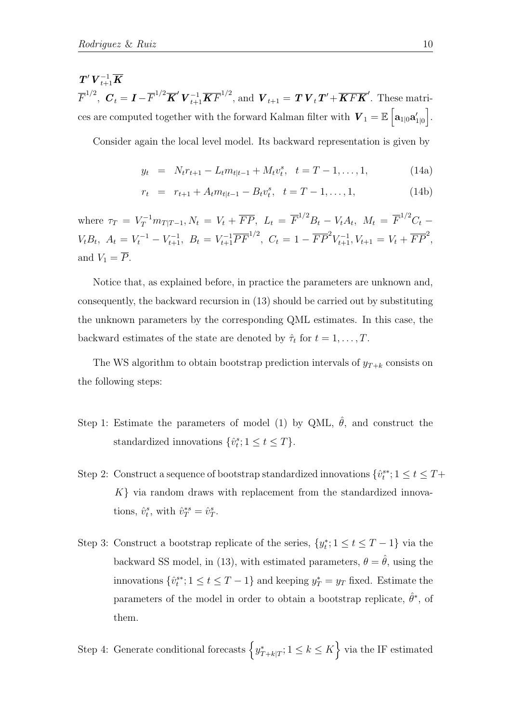$\boldsymbol{T}'\,\boldsymbol{V}_{t+1}^{-1}\boldsymbol{\overline{K}}$  $\overline{F}^{1/2}$ ,  $\boldsymbol{C}_t = \boldsymbol{I} - \overline{F}^{1/2} \overline{\boldsymbol{K}}' \boldsymbol{V}_{t+1}^{-1} \overline{\boldsymbol{K} F}^{1/2}$ , and  $\boldsymbol{V}_{t+1} = \boldsymbol{T} \boldsymbol{V}_t \boldsymbol{T}' + \overline{\boldsymbol{K} F} \overline{\boldsymbol{K}}'$ . These matrices are computed together with the forward Kalman filter with  $\boldsymbol{V}_1 = \mathbb{E} \left[ \mathbf{a}_{1|0} \mathbf{a}'_{1|0} \right]$ .

Consider again the local level model. Its backward representation is given by

$$
y_t = N_t r_{t+1} - L_t m_{t|t-1} + M_t v_t^s, \quad t = T - 1, ..., 1,
$$
 (14a)

$$
r_t = r_{t+1} + A_t m_{t|t-1} - B_t v_t^s, \quad t = T - 1, ..., 1,
$$
\n(14b)

where  $\tau_T = V_T^{-1} m_{T|T-1}, N_t = V_t + \overline{FP}, L_t = \overline{F}^{1/2} B_t - V_t A_t, M_t = \overline{F}^{1/2} C_t$  $V_t B_t$ ,  $A_t = V_t^{-1} - V_{t+1}^{-1}$ ,  $B_t = V_{t+1}^{-1} \overline{PF}^{1/2}$ ,  $C_t = 1 - \overline{FP}^2 V_{t+1}^{-1}$ ,  $V_{t+1} = V_t + \overline{FP}^2$ , and  $V_1 = \overline{P}$ .

Notice that, as explained before, in practice the parameters are unknown and, consequently, the backward recursion in [\(13\)](#page-9-0) should be carried out by substituting the unknown parameters by the corresponding QML estimates. In this case, the backward estimates of the state are denoted by  $\hat{\tau}_t$  for  $t = 1, \ldots, T$ .

The WS algorithm to obtain bootstrap prediction intervals of  $y_{T+k}$  consists on the following steps:

- Step 1: Estimate the parameters of model [\(1\)](#page-4-0) by QML,  $\hat{\theta}$ , and construct the standardized innovations  $\{\hat{v}_t^s; 1 \le t \le T\}$ .
- Step 2: Construct a sequence of bootstrap standardized innovations  $\{\hat{v}_t^{s*}; 1 \le t \le T + \}$  $K$  via random draws with replacement from the standardized innovations,  $\hat{v}_t^s$ , with  $\hat{v}_T^{*s} = \hat{v}_T^s$ .
- Step 3: Construct a bootstrap replicate of the series,  $\{y_t^*\;;\; 1 \le t \le T-1\}$  via the backward SS model, in [\(13\)](#page-9-0), with estimated parameters,  $\theta = \hat{\theta}$ , using the innovations  $\{\hat{v}_t^{s*}; 1 \le t \le T-1\}$  and keeping  $y_T^* = y_T$  fixed. Estimate the parameters of the model in order to obtain a bootstrap replicate,  $\hat{\theta}^*$ , of them.

Step 4: Generate conditional forecasts  $\left\{y^*_{T+k|T}; 1 \leq k \leq K\right\}$  via the IF estimated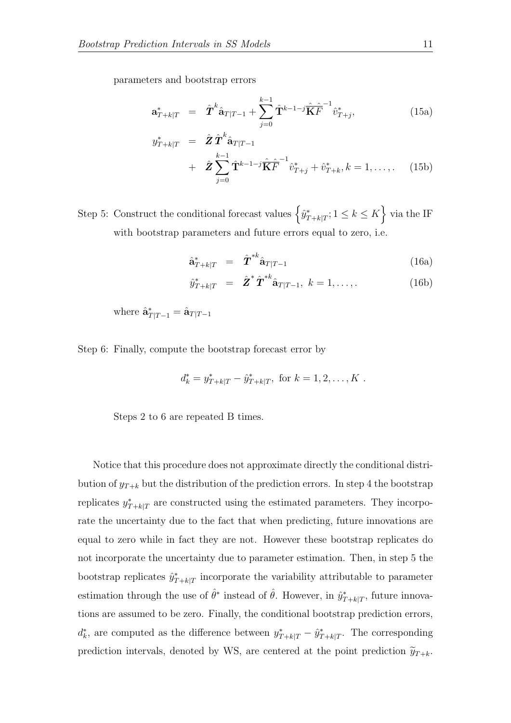parameters and bootstrap errors

$$
\mathbf{a}_{T+k|T}^* = \hat{\mathbf{T}}^k \hat{\mathbf{a}}_{T|T-1} + \sum_{j=0}^{k-1} \hat{\mathbf{T}}^{k-1-j} \hat{\mathbf{K}}_T^{\hat{\mathbf{F}}}^{-1} \hat{v}_{T+j}^*,
$$
(15a)

$$
y_{T+k|T}^{*} = \hat{Z} \hat{T}^{k} \hat{\mathbf{a}}_{T|T-1} + \hat{Z} \sum_{j=0}^{k-1} \hat{\mathbf{T}}^{k-1-j} \hat{\mathbf{K}}^{T} \hat{T}^{j} \hat{v}_{T+j}^{*} + \hat{v}_{T+k}^{*}, k = 1, ...,
$$
 (15b)

Step 5: Construct the conditional forecast values  $\left\{\hat{y}^*_{T+k|T}; 1 \leq k \leq K\right\}$  via the IF with bootstrap parameters and future errors equal to zero, i.e.

$$
\hat{\mathbf{a}}_{T+k|T}^* = \hat{\boldsymbol{T}}^* \hat{\mathbf{a}}_{T|T-1} \tag{16a}
$$

$$
\hat{y}_{T+k|T}^* = \hat{\mathbf{Z}}^* \hat{\mathbf{T}}^* \hat{\mathbf{a}}_{T|T-1}, \ k = 1, \dots, \tag{16b}
$$

where  $\hat{\mathbf{a}}_{T|T-1}^* = \hat{\mathbf{a}}_{T|T-1}$ 

Step 6: Finally, compute the bootstrap forecast error by

$$
d_k^* = y_{T+k|T}^* - \hat{y}_{T+k|T}^*, \text{ for } k = 1, 2, \dots, K.
$$

Steps 2 to 6 are repeated B times.

Notice that this procedure does not approximate directly the conditional distribution of  $y_{T+k}$  but the distribution of the prediction errors. In step 4 the bootstrap replicates  $y^*_{T+k|T}$  are constructed using the estimated parameters. They incorporate the uncertainty due to the fact that when predicting, future innovations are equal to zero while in fact they are not. However these bootstrap replicates do not incorporate the uncertainty due to parameter estimation. Then, in step 5 the bootstrap replicates  $\hat{y}_{T+k|T}^*$  incorporate the variability attributable to parameter estimation through the use of  $\hat{\theta}^*$  instead of  $\hat{\theta}$ . However, in  $\hat{y}^*_{T+k|T}$ , future innovations are assumed to be zero. Finally, the conditional bootstrap prediction errors,  $d_k^*$ , are computed as the difference between  $y^*_{T+k|T} - \hat{y}^*_{T+k|T}$ . The corresponding prediction intervals, denoted by WS, are centered at the point prediction  $\tilde{y}_{T+k}$ .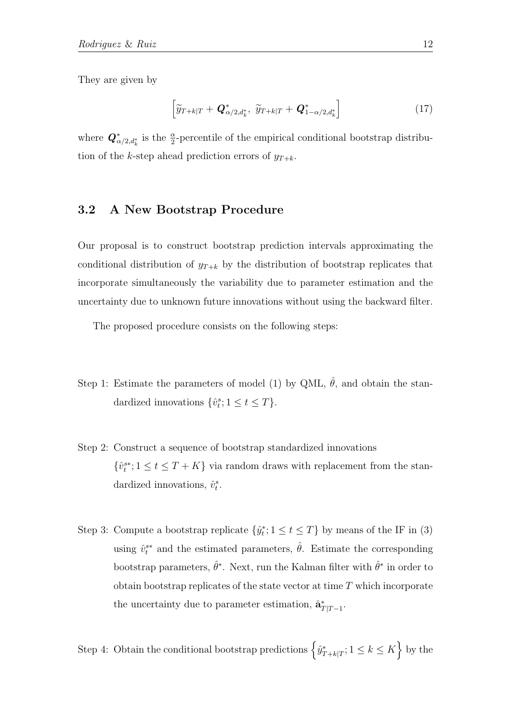They are given by

<span id="page-12-0"></span>
$$
\left[\widetilde{y}_{T+k|T} + \boldsymbol{Q}_{\alpha/2,d_k^*}^*, \ \widetilde{y}_{T+k|T} + \boldsymbol{Q}_{1-\alpha/2,d_k^*}^*\right]
$$
\n(17)

where  $\mathbf{Q}_{\alpha/2,d_k^*}^*$  is the  $\frac{\alpha}{2}$ -percentile of the empirical conditional bootstrap distribution of the k-step ahead prediction errors of  $y_{T+k}$ .

#### 3.2 A New Bootstrap Procedure

Our proposal is to construct bootstrap prediction intervals approximating the conditional distribution of  $y_{T+k}$  by the distribution of bootstrap replicates that incorporate simultaneously the variability due to parameter estimation and the uncertainty due to unknown future innovations without using the backward filter.

The proposed procedure consists on the following steps:

- Step 1: Estimate the parameters of model [\(1\)](#page-4-0) by QML,  $\hat{\theta}$ , and obtain the standardized innovations  $\{\hat{v}_t^s; 1 \le t \le T\}$ .
- Step 2: Construct a sequence of bootstrap standardized innovations  $\{\hat{v}_{t}^{s*}; 1 \leq t \leq T+K\}$  via random draws with replacement from the standardized innovations,  $\hat{v}_t^s$ .
- Step 3: Compute a bootstrap replicate  $\{\hat{y}_t^*\;;\;1\leq t\leq T\}$  by means of the IF in [\(3\)](#page-6-2) using  $\hat{v}_t^{s*}$  and the estimated parameters,  $\hat{\theta}$ . Estimate the corresponding bootstrap parameters,  $\hat{\theta}^*$ . Next, run the Kalman filter with  $\hat{\theta}^*$  in order to obtain bootstrap replicates of the state vector at time  $T$  which incorporate the uncertainty due to parameter estimation,  $\hat{\mathbf{a}}_{T|T-1}^*$ .

Step 4: Obtain the conditional bootstrap predictions  $\left\{\hat{y}^*_{T+k|T}; 1 \leq k \leq K\right\}$  by the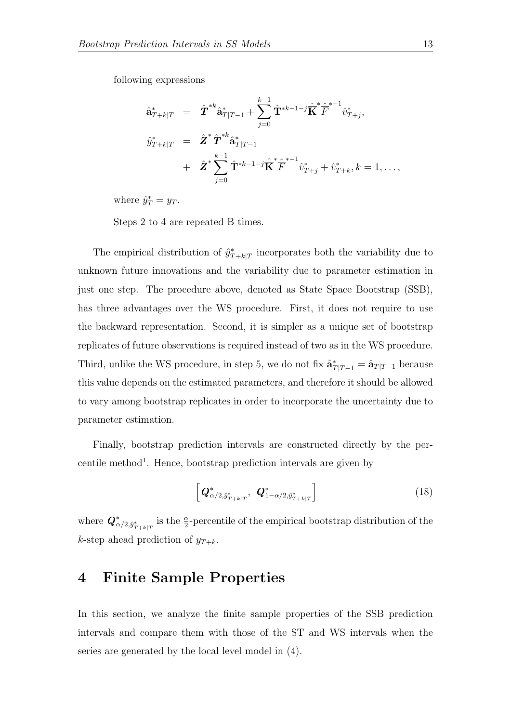following expressions

$$
\begin{array}{rcl} \hat{\mathbf{a}}_{T+k|T}^{*} & = & \hat{\boldsymbol{T}}^{*k} \hat{\mathbf{a}}_{T|T-1}^{*} + \sum_{j=0}^{k-1} \hat{\mathbf{T}}^{*k-1-j} \hat{\overline{\mathbf{K}}}^{*} \hat{\overline{F}}^{* -1} \hat{v}_{T+j}^{*}, \\ \hat{y}_{T+k|T}^{*} & = & \hat{\boldsymbol{Z}}^{*} \hat{\boldsymbol{T}}^{*k} \hat{\mathbf{a}}_{T|T-1}^{*} \\ & & + & \hat{\boldsymbol{Z}}^{*} \sum_{j=0}^{k-1} \hat{\mathbf{T}}^{*k-1-j} \hat{\overline{\mathbf{K}}}^{*} \hat{\overline{F}}^{* -1} \hat{v}_{T+j}^{*} + \hat{v}_{T+k}^{*}, k = 1, \ldots, \end{array}
$$

where  $\hat{y}_T^* = y_T$ .

Steps 2 to 4 are repeated B times.

The empirical distribution of  $\hat{y}_{T+k|T}^*$  incorporates both the variability due to unknown future innovations and the variability due to parameter estimation in just one step. The procedure above, denoted as State Space Bootstrap (SSB), has three advantages over the WS procedure. First, it does not require to use the backward representation. Second, it is simpler as a unique set of bootstrap replicates of future observations is required instead of two as in the WS procedure. Third, unlike the WS procedure, in step 5, we do not fix  $\hat{\mathbf{a}}_{T|T-1}^* = \hat{\mathbf{a}}_{T|T-1}$  because this value depends on the estimated parameters, and therefore it should be allowed to vary among bootstrap replicates in order to incorporate the uncertainty due to parameter estimation.

Finally, bootstrap prediction intervals are constructed directly by the percentile method<sup>1</sup>. Hence, bootstrap prediction intervals are given by

<span id="page-13-0"></span>
$$
\left[\boldsymbol{Q}_{\alpha/2,\hat{y}_{T+k|T}}^{*},\boldsymbol{Q}_{1-\alpha/2,\hat{y}_{T+k|T}}^{*}\right]
$$
\n(18)

where  $\bm{Q}^*_{\alpha/2,\hat{y}^*_{T+k|T}}$  is the  $\frac{\alpha}{2}$ -percentile of the empirical bootstrap distribution of the k-step ahead prediction of  $y_{T+k}$ .

### 4 Finite Sample Properties

In this section, we analyze the finite sample properties of the SSB prediction intervals and compare them with those of the ST and WS intervals when the series are generated by the local level model in [\(4\)](#page-6-3).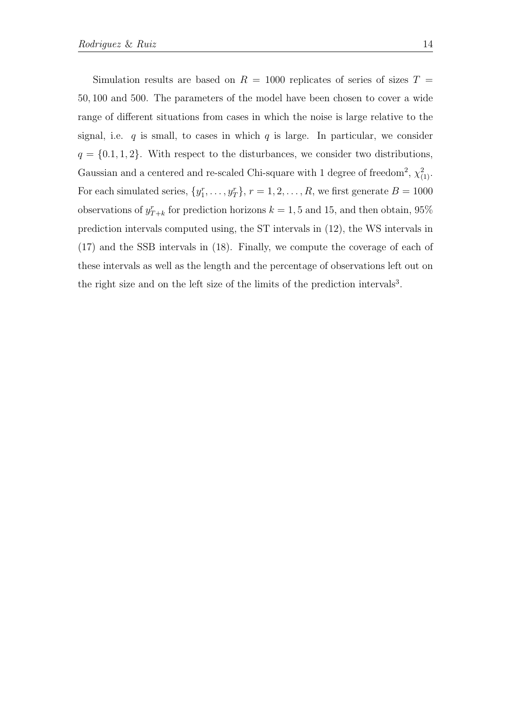Simulation results are based on  $R = 1000$  replicates of series of sizes  $T =$ 50, 100 and 500. The parameters of the model have been chosen to cover a wide range of different situations from cases in which the noise is large relative to the signal, i.e.  $q$  is small, to cases in which  $q$  is large. In particular, we consider  $q = \{0.1, 1, 2\}$ . With respect to the disturbances, we consider two distributions, Gaussian and a centered and re-scaled Chi-square with 1 degree of freedom<sup>2</sup>,  $\chi^2_{(1)}$ . For each simulated series,  $\{y_1^r, \ldots, y_T^r\}$ ,  $r = 1, 2, \ldots, R$ , we first generate  $B = 1000$ observations of  $y_{T+k}^r$  for prediction horizons  $k = 1, 5$  and 15, and then obtain, 95% prediction intervals computed using, the ST intervals in [\(12\)](#page-8-2), the WS intervals in [\(17\)](#page-12-0) and the SSB intervals in [\(18\)](#page-13-0). Finally, we compute the coverage of each of these intervals as well as the length and the percentage of observations left out on the right size and on the left size of the limits of the prediction intervals<sup>3</sup>.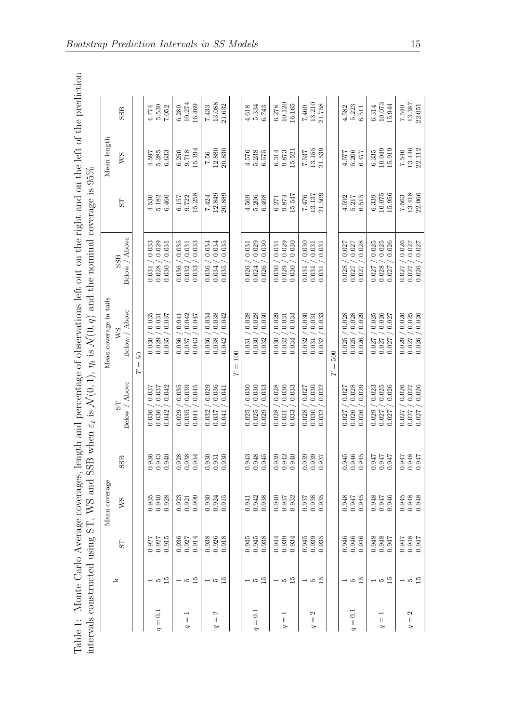<span id="page-15-0"></span>

|                                                  |        |                                                        | Mean coverage                                          |                         |                                                    | Mean coverage in tails                             |                                                    |                           | Mean length               |                           |
|--------------------------------------------------|--------|--------------------------------------------------------|--------------------------------------------------------|-------------------------|----------------------------------------------------|----------------------------------------------------|----------------------------------------------------|---------------------------|---------------------------|---------------------------|
|                                                  | k      | $5\overline{1}$                                        | <b>NS</b>                                              | SS <sub>B</sub>         | Above<br>55<br>Below /                             | Above<br>WS<br>Below /                             | Above<br>SSB<br>Below /                            | 5T                        | <b>NS</b>                 | SSB                       |
|                                                  |        |                                                        |                                                        |                         |                                                    | $50\,$<br>$\mid \mid$<br>Н                         |                                                    |                           |                           |                           |
| $\overline{0}$<br>$\vert\vert$<br>P              | $-52$  | 0.927<br>0.915<br>0.927                                | 0.928<br>0.935<br>0.940                                | 0.940<br>0.936<br>0.943 | 0.042<br>0.037<br>0.037<br>0.036<br>0.036<br>0.042 | 0.035<br>0.037<br>0.031<br>0.029<br>0.035<br>0.030 | 0.029<br>0.033<br>0.031<br>0.028<br>0.030<br>0.031 | 5.182<br>6.460<br>4.530   | 5.285<br>6.633<br>4.597   | 5.539<br>4.774<br>7.052   |
| $\overline{\phantom{0}}$<br>$\parallel$<br>P     | $-52$  | $\begin{array}{c} 0.936 \\ 0.927 \\ 0.914 \end{array}$ | $\begin{array}{c} 0.923 \\ 0.921 \\ 0.909 \end{array}$ | 0.928<br>0.938<br>0.934 | 0.035<br>0.039<br>0.045<br>0.035<br>0.029<br>0.041 | 0.042<br>0.047<br>0.041<br>0.037<br>0.036<br>0.043 | 0.035<br>0.033<br>0.031<br>0.032<br>0.036<br>0.033 | 15.258<br>6.157<br>9.722  | 15.194<br>9.718<br>6.250  | 10.274<br>16.469<br>6.280 |
| N<br>$\parallel$<br>P                            | $-52$  | $\begin{array}{c} 0.938 \\ 0.926 \\ 0.918 \end{array}$ | $\begin{array}{c} 0.930 \\ 0.924 \\ 0.915 \end{array}$ | 0.930<br>1.930<br>0.931 | 0.036<br>0.029<br>0.041<br>0.032<br>0.037<br>0.041 | 0.038<br>0.042<br>0.034<br>0.036<br>0.038<br>0.042 | 0.034<br>0.034<br>0.035<br>0.036<br>0.035<br>0.034 | 12.849<br>20.889<br>7.424 | 12.880<br>20.830<br>7.56  | 13.088<br>21.632<br>7.433 |
|                                                  |        |                                                        |                                                        |                         |                                                    | $= 100$<br>Z                                       |                                                    |                           |                           |                           |
| 0.1<br>$\vert\vert$<br>$\sigma$                  | $-55$  | $0.945$<br>$0.938$<br>0.945                            | 0.942<br>0.941                                         | 1.943<br>0.948<br>1.945 | 0.030<br>0.030<br>0.033<br>0.025<br>0.025<br>0.029 | 0.028<br>0.028<br>0.030<br>0.030<br>0.032<br>0.031 | 0.029<br>0.030<br>0.031<br>0.024<br>0.026<br>0.026 | 5.206<br>6.498<br>4.569   | 4.576<br>5.238<br>6.575   | 4.618<br>5.334<br>6.743   |
| $\overline{\phantom{0}}$<br>$\parallel$<br>P     | $-55$  | 0.939<br>0.934<br>0.944                                | 0.937<br>0.932<br>0.940                                | 0.940<br>0.939<br>0.942 | 0.028<br>0.030<br>0.033<br>0.028<br>0.033<br>0.031 | 0.029<br>0.034<br>0.031<br>0.030<br>0.032<br>0.034 | 0.029<br>0.030<br>0.031<br>0.030<br>0.029<br>0.030 | 15.547<br>9.874<br>6.271  | 9.873<br>15.521<br>6.314  | 10.120<br>16.165<br>6.278 |
| Z<br>$\parallel$<br>P                            | ⊣ 10 ∐ | $\begin{array}{c} 0.945 \\ 0.939 \\ 0.935 \end{array}$ | $\begin{array}{c} 0.937 \\ 0.938 \\ 0.935 \end{array}$ | 0.939<br>0.939<br>1.937 | 0.027<br>0.030<br>0.032<br>0.030<br>0.028<br>0.032 | 0.030<br>0.033<br>0.031<br>0.031<br>0.032<br>0.032 | 0.030<br>0.031<br>0.031<br>0.031<br>0.031<br>0.031 | 13.137<br>21.509<br>7.476 | 13.155<br>21.539<br>7.537 | 13.210<br>21.758<br>7.460 |
|                                                  |        |                                                        |                                                        |                         |                                                    | 500<br>$\parallel$<br>Ε                            |                                                    |                           |                           |                           |
| $\overline{0}$ .<br>$\overline{\mathsf{I}}$<br>Ó | $-55$  | 0.946<br>0.946<br>0.946                                | 0.948<br>0.947<br>0.945                                | 0.945<br>0.946<br>0.945 | 0.028<br>0.027<br>0.029<br>0.026<br>0.027<br>0.026 | 0.028<br>0.028<br>0.029<br>0.025<br>0.025<br>0.026 | 0.027<br>0.027<br>0.028<br>0.028<br>0.027<br>0.027 | 4.592<br>5.217<br>6.515   | 4.577<br>5.206<br>6.477   | 5.223<br>4.582<br>6.511   |
| ⊣<br>$\vert\vert$<br>P                           | $-52$  | 876.0<br>876.0<br>0.947                                | 0.948<br>0.947<br>746.0                                | 756.00<br>1.947         | 0.025<br>0.026<br>0.023<br>0.027<br>0.029<br>0.027 | 0.026<br>0.025<br>0.027<br>0.027<br>0.027<br>0.027 | 0.025<br>0.025<br>0.026<br>0.028<br>0.027<br>0.027 | 10.075<br>15.956<br>6.339 | 10.049<br>15.919<br>6.335 | 10.073<br>15.944<br>6.314 |
| Z<br>$\lvert \rvert$<br>P                        | $-55$  | 156.00<br>1947                                         | 856.00<br>0.945                                        | 1948<br>0.947<br>0.947  | 0.026<br>0.027<br>0.026<br>0.027<br>0.027<br>0.027 | 0.026<br>0.025<br>0.026<br>0.029<br>0.026<br>0.027 | 0.026<br>0.027<br>0.027<br>0.027<br>0.026<br>0.027 | 13.418<br>22.066<br>7.563 | 13.446<br>22.112<br>7.546 | 13.387<br>7.540<br>22.051 |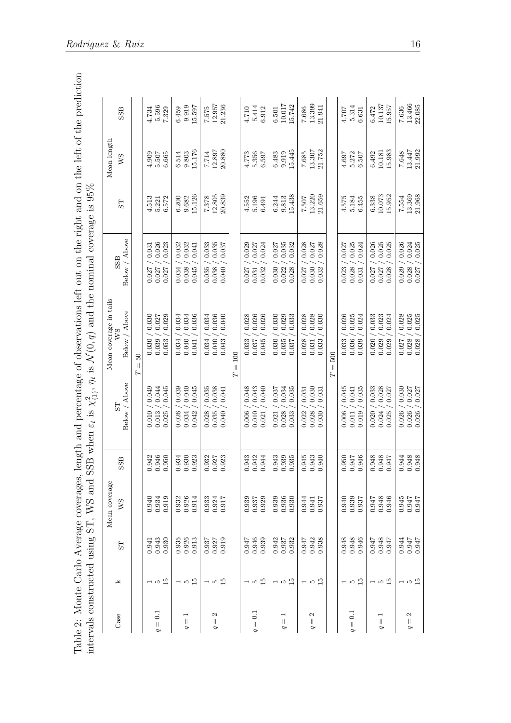| gth and percentage of observations left out on the right and on the left of the prediction<br>くくく | $\mathcal{B}$ when $\varepsilon_t$ is $\chi'_{(1)}, \eta_t$ is $\mathcal{N}(0, q)$ and the nominal coverage is 95% |
|---------------------------------------------------------------------------------------------------|--------------------------------------------------------------------------------------------------------------------|
| <b>VACATOC CACATOC CACATOC CONTROL CO</b>                                                         | てトトト [して<br> <br> <br> <br> <br> <br>i<br>Cir                                                                      |
|                                                                                                   | くくりょうしょう                                                                                                           |
|                                                                                                   |                                                                                                                    |

<span id="page-16-0"></span>

|                                               |       |                                                        | Mean coverage                                          |       |                                  | Mean coverage in tails     |                        |        | Mean length    |        |
|-----------------------------------------------|-------|--------------------------------------------------------|--------------------------------------------------------|-------|----------------------------------|----------------------------|------------------------|--------|----------------|--------|
| Case                                          | k     | S <sub>T</sub>                                         | ws                                                     | SSB   | Above<br>E <sub>S</sub><br>Below | Above<br>ws<br>Below,      | Above<br>SSB<br>Below, | 5T     | WS             | SSB    |
|                                               |       |                                                        |                                                        |       |                                  | $50\,$<br>$\parallel$<br>Н |                        |        |                |        |
|                                               | $-52$ | 0.941                                                  | $0.940$<br>$0.934$<br>$0.934$                          | 0.942 | 0.049<br>0.010                   | 0.030<br>0.030             | 0.031<br>0.027         | 4.513  | 4.909          | 4.734  |
| $\overline{0}$<br>$\vert\vert$<br>P           |       | 0.943<br>0.930                                         |                                                        | 0.946 | 0.044<br>0.013                   | 0.027<br>0.039             | 0.026<br>0.027         | 5.221  | 5.507          | 5.596  |
|                                               |       |                                                        |                                                        | 0.950 | 0.045<br>0.025                   | 0.029<br>0.053             | 0.023<br>0.027         | 6.572  | 6.665          | 7.329  |
|                                               |       |                                                        |                                                        | 0.934 | 0.039<br>0.026                   | 0.034<br>0.034             | 0.032<br>0.034         | 6.200  | 6.514          | 6.459  |
| ⊣<br>$\lvert \rvert$<br>P                     | $-52$ | 0.935<br>0.926                                         | $0.932$<br>$0.926$                                     | 0.930 | 0.040<br>0.034                   | 0.034<br>0.040             | 0.032<br>0.038         | 9.682  | 9.803          | 9.919  |
|                                               |       | 0.913                                                  | 0.914                                                  | 0.923 | 0.045<br>0.042                   | 0.036<br>0.041             | 0.041<br>0.045         | 15.126 | 15.176         | 15.597 |
|                                               |       |                                                        |                                                        | 0.932 | 0.035<br>0.028                   | 0.034<br>0.034             | 0.033<br>0.035         | 7.378  | 7.714          | 7.575  |
| Z<br>$\parallel$<br>P                         | $-52$ | $\begin{array}{c} 0.937 \\ 0.927 \\ 0.919 \end{array}$ | $\begin{array}{c} 0.933 \\ 0.924 \\ 0.917 \end{array}$ | 0.927 | 0.038<br>0.035                   | 0.036<br>0.040             | 0.035<br>0.038         | 12.805 | 12.897         | 12.957 |
|                                               |       |                                                        |                                                        | 0.923 | 0.041<br>0.040                   | 0.040<br>0.043             | 0.037<br>0.040         | 20.839 | 20.880         | 21.236 |
|                                               |       |                                                        |                                                        |       |                                  | $= 100$<br>Н               |                        |        |                |        |
|                                               |       | 0.947                                                  | 0.939                                                  | 0.943 | 0.048<br>0.006                   | 0.028<br>0.033             | 0.029<br>0.027         | 4.552  | 4.773          | 4.710  |
| $\overline{0.1}$<br>$\lvert \rvert$<br>P      | $-52$ | 0.946<br>0.939                                         | 0.937                                                  | 0.942 | 0.043<br>0.010                   | 0.026<br>0.037             | 0.027<br>0.031         | 5.196  | 5.356          | 5.414  |
|                                               |       |                                                        |                                                        | 0.944 | 0.040<br>0.021                   | 0.026<br>0.045             | 0.024<br>0.032         | 6.491  | 6.597          | 6.912  |
|                                               |       | 0.942                                                  |                                                        | 0.943 | 0.037<br>0.021                   | 0.030<br>0.030             | 0.027<br>0.030         | 6.244  | 6.483          | 6.501  |
| $\overline{\phantom{0}}$<br>$\vert\vert$<br>P | $-52$ | 0.937<br>0.932                                         | $0.939$<br>$0.936$<br>$0.930$                          | 0.939 | 0.034<br>0.028                   | 0.029<br>0.035             | 0.035<br>0.022         | 9.813  | 9.919          | 10.017 |
|                                               |       |                                                        |                                                        | 0.935 | 0.035<br>0.033                   | 0.033<br>0.037             | 0.032<br>0.028         | 15.438 | 15.445         | 15.742 |
|                                               |       |                                                        |                                                        | 0.945 | 0.031<br>0.022                   | 0.028<br>0.028             | 0.028<br>0.027         | 7.507  | 7.685          | 7.686  |
| Z<br>Ш<br>P                                   | $-55$ | 0.947<br>0.942                                         | $0.944$<br>0.941                                       | 0.943 | 0.030<br>0.028                   | 0.028<br>0.031             | 0.027<br>0.030         | 13.220 | 13.307         | 13.399 |
|                                               |       | 0.938                                                  | 0.937                                                  | 0.940 | 0.031<br>0.030                   | 0.030<br>0.033             | 0.028<br>0.032         | 21.659 | 21.752         | 21.941 |
|                                               |       |                                                        |                                                        |       |                                  | 500<br>$\vert\vert$<br>Ε   |                        |        |                |        |
|                                               |       | 0.948                                                  | 0.940<br>0.939                                         | 0.950 | 0.045<br>0.006                   | 0.026<br>0.033             | 0.027<br>0.023         | 4.575  | 4.697          | 4.707  |
| $\overline{0}$<br>$\vert\vert$<br>P           | $-52$ | 0.948                                                  |                                                        | 0.947 | 0.041<br>0.011                   | 0.025<br>0.036             | 0.025<br>0.028         | 5.184  | 5.272<br>6.507 | 5.314  |
|                                               |       | 0.946                                                  | 0.937                                                  | 0.946 | 0.035<br>0.019                   | 0.024<br>0.039             | 0.024<br>0.031         | 6.455  |                | 6.631  |
|                                               |       |                                                        |                                                        | 0.948 | 0.033<br>0.020                   | 0.033<br>0.020             | 0.026<br>0.027         | 6.338  | 6.492          | 6.472  |
| H<br>$\vert\vert$<br>P                        | $-52$ | LF6.0<br>876.0<br>276.0                                | 0.947<br>0.948<br>0.946                                | 0.948 | 0.028<br>0.024                   | 0.023<br>0.029             | 0.025<br>0.027         | 10.073 | 10.181         | 10.137 |
|                                               |       |                                                        |                                                        | 0.947 | $0.027\,$<br>0.025               | 0.024<br>0.029             | 0.025<br>0.028         | 15.952 | 15.983         | 15.957 |
|                                               |       | 0.944                                                  |                                                        | 0.944 | 0.030<br>0.026                   | 0.028<br>0.027             | 0.026<br>0.029         | 7.554  | $7.648$        | 7.636  |
| Z<br>$\vert\vert$<br>P                        | $-52$ | LF60<br>LF60                                           | 7166.0<br>LF6.0<br>LF6.0                               | 0.948 | 0.027<br>0.026                   | 0.025<br>0.028             | 0.024<br>0.028         | 13.369 | 13.447         | 13.466 |
|                                               |       |                                                        |                                                        | 0.948 | 0.027<br>0.026                   | 0.028                      | 0.025<br>0.027         | 21.968 | 21.992         | 22.085 |
|                                               |       |                                                        |                                                        |       |                                  |                            |                        |        |                |        |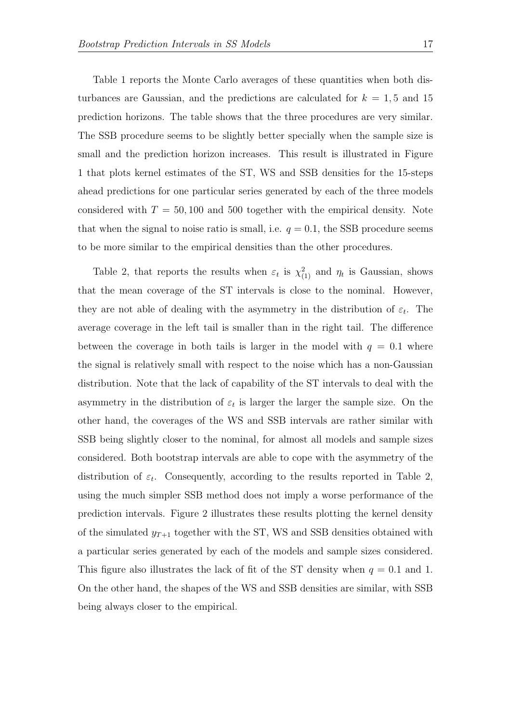Table [1](#page-15-0) reports the Monte Carlo averages of these quantities when both disturbances are Gaussian, and the predictions are calculated for  $k = 1, 5$  and 15 prediction horizons. The table shows that the three procedures are very similar. The SSB procedure seems to be slightly better specially when the sample size is small and the prediction horizon increases. This result is illustrated in Figure [1](#page-18-0) that plots kernel estimates of the ST, WS and SSB densities for the 15-steps ahead predictions for one particular series generated by each of the three models considered with  $T = 50,100$  and 500 together with the empirical density. Note that when the signal to noise ratio is small, i.e.  $q = 0.1$ , the SSB procedure seems to be more similar to the empirical densities than the other procedures.

Table [2,](#page-16-0) that reports the results when  $\varepsilon_t$  is  $\chi^2_{(1)}$  and  $\eta_t$  is Gaussian, shows that the mean coverage of the ST intervals is close to the nominal. However, they are not able of dealing with the asymmetry in the distribution of  $\varepsilon_t$ . The average coverage in the left tail is smaller than in the right tail. The difference between the coverage in both tails is larger in the model with  $q = 0.1$  where the signal is relatively small with respect to the noise which has a non-Gaussian distribution. Note that the lack of capability of the ST intervals to deal with the asymmetry in the distribution of  $\varepsilon_t$  is larger the larger the sample size. On the other hand, the coverages of the WS and SSB intervals are rather similar with SSB being slightly closer to the nominal, for almost all models and sample sizes considered. Both bootstrap intervals are able to cope with the asymmetry of the distribution of  $\varepsilon_t$ . Consequently, according to the results reported in Table [2,](#page-16-0) using the much simpler SSB method does not imply a worse performance of the prediction intervals. Figure [2](#page-19-0) illustrates these results plotting the kernel density of the simulated  $y_{T+1}$  together with the ST, WS and SSB densities obtained with a particular series generated by each of the models and sample sizes considered. This figure also illustrates the lack of fit of the ST density when  $q = 0.1$  and 1. On the other hand, the shapes of the WS and SSB densities are similar, with SSB being always closer to the empirical.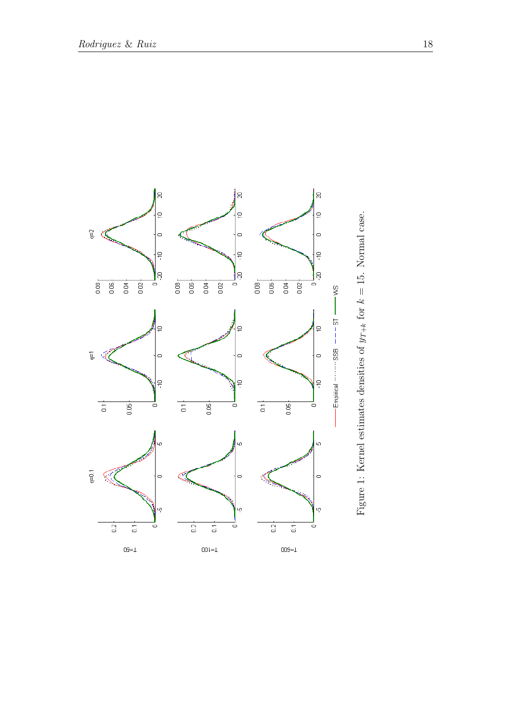<span id="page-18-0"></span>

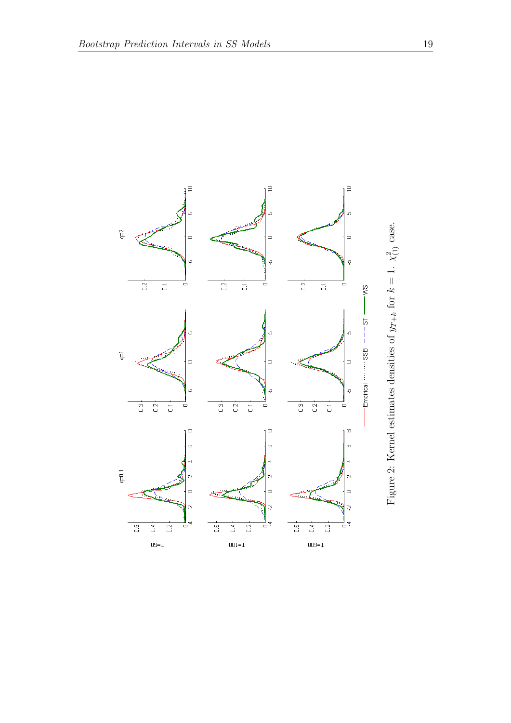<span id="page-19-0"></span>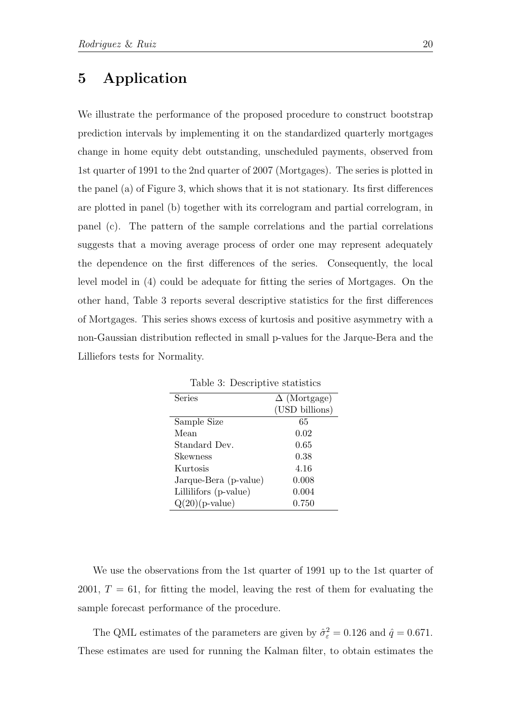# 5 Application

We illustrate the performance of the proposed procedure to construct bootstrap prediction intervals by implementing it on the standardized quarterly mortgages change in home equity debt outstanding, unscheduled payments, observed from 1st quarter of 1991 to the 2nd quarter of 2007 (Mortgages). The series is plotted in the panel (a) of Figure [3,](#page-21-0) which shows that it is not stationary. Its first differences are plotted in panel (b) together with its correlogram and partial correlogram, in panel (c). The pattern of the sample correlations and the partial correlations suggests that a moving average process of order one may represent adequately the dependence on the first differences of the series. Consequently, the local level model in [\(4\)](#page-6-3) could be adequate for fitting the series of Mortgages. On the other hand, Table [3](#page-20-0) reports several descriptive statistics for the first differences of Mortgages. This series shows excess of kurtosis and positive asymmetry with a non-Gaussian distribution reflected in small p-values for the Jarque-Bera and the Lilliefors tests for Normality.

| Series                | $\Delta$ (Mortgage) |
|-----------------------|---------------------|
|                       | (USD billions)      |
| Sample Size           | 65                  |
| Mean                  | 0.02                |
| Standard Dev.         | 0.65                |
| Skewness              | 0.38                |
| Kurtosis              | 4.16                |
| Jarque-Bera (p-value) | 0.008               |
| Lillilifors (p-value) | 0.004               |
| $Q(20)$ (p-value)     | 0.750               |

<span id="page-20-0"></span>Table 3: Descriptive statistics

We use the observations from the 1st quarter of 1991 up to the 1st quarter of 2001,  $T = 61$ , for fitting the model, leaving the rest of them for evaluating the sample forecast performance of the procedure.

The QML estimates of the parameters are given by  $\hat{\sigma}_{\varepsilon}^2 = 0.126$  and  $\hat{q} = 0.671$ . These estimates are used for running the Kalman filter, to obtain estimates the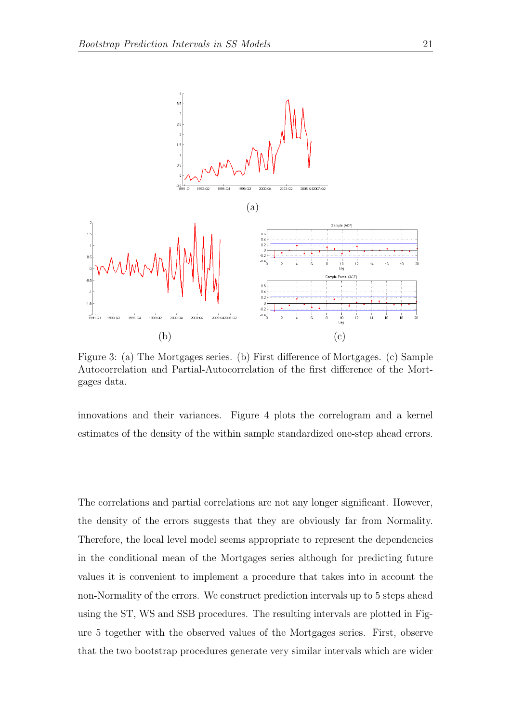

<span id="page-21-0"></span>Figure 3: (a) The Mortgages series. (b) First difference of Mortgages. (c) Sample Autocorrelation and Partial-Autocorrelation of the first difference of the Mortgages data.

innovations and their variances. Figure [4](#page-22-0) plots the correlogram and a kernel estimates of the density of the within sample standardized one-step ahead errors.

The correlations and partial correlations are not any longer significant. However, the density of the errors suggests that they are obviously far from Normality. Therefore, the local level model seems appropriate to represent the dependencies in the conditional mean of the Mortgages series although for predicting future values it is convenient to implement a procedure that takes into in account the non-Normality of the errors. We construct prediction intervals up to 5 steps ahead using the ST, WS and SSB procedures. The resulting intervals are plotted in Figure [5](#page-23-0) together with the observed values of the Mortgages series. First, observe that the two bootstrap procedures generate very similar intervals which are wider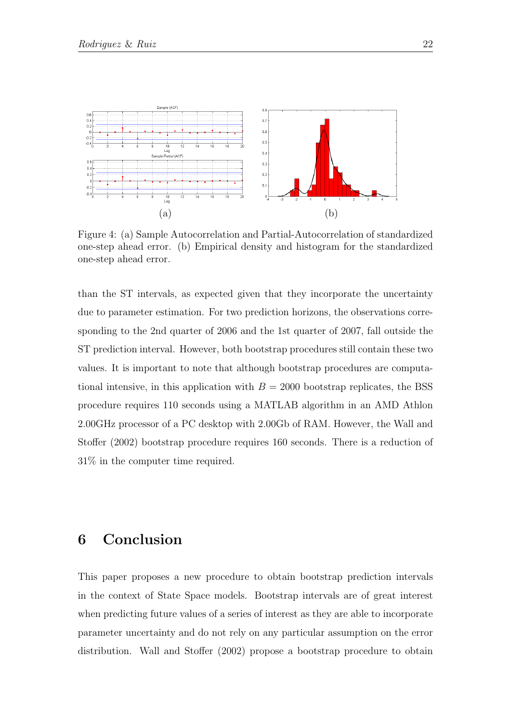

<span id="page-22-0"></span>Figure 4: (a) Sample Autocorrelation and Partial-Autocorrelation of standardized one-step ahead error. (b) Empirical density and histogram for the standardized one-step ahead error.

than the ST intervals, as expected given that they incorporate the uncertainty due to parameter estimation. For two prediction horizons, the observations corresponding to the 2nd quarter of 2006 and the 1st quarter of 2007, fall outside the ST prediction interval. However, both bootstrap procedures still contain these two values. It is important to note that although bootstrap procedures are computational intensive, in this application with  $B = 2000$  bootstrap replicates, the BSS procedure requires 110 seconds using a MATLAB algorithm in an AMD Athlon 2.00GHz processor of a PC desktop with 2.00Gb of RAM. However, the [Wall and](#page-26-0) [Stoffer](#page-26-0) [\(2002\)](#page-26-0) bootstrap procedure requires 160 seconds. There is a reduction of 31% in the computer time required.

# 6 Conclusion

This paper proposes a new procedure to obtain bootstrap prediction intervals in the context of State Space models. Bootstrap intervals are of great interest when predicting future values of a series of interest as they are able to incorporate parameter uncertainty and do not rely on any particular assumption on the error distribution. [Wall and Stoffer](#page-26-0) [\(2002\)](#page-26-0) propose a bootstrap procedure to obtain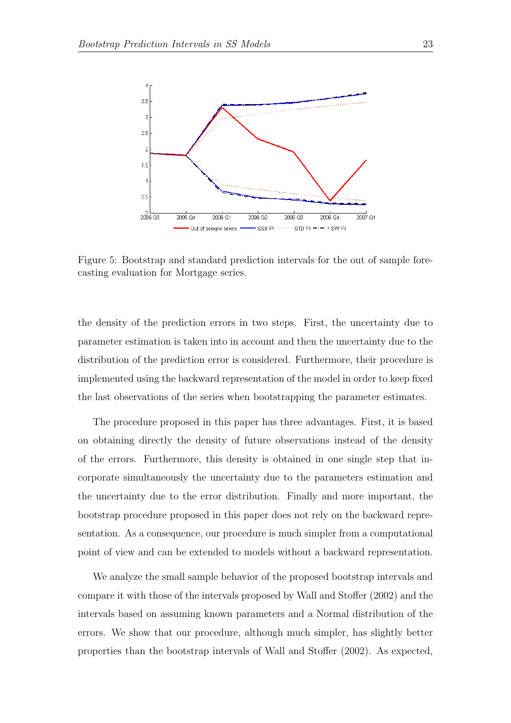

<span id="page-23-0"></span>Figure 5: Bootstrap and standard prediction intervals for the out of sample forecasting evaluation for Mortgage series.

the density of the prediction errors in two steps. First, the uncertainty due to parameter estimation is taken into in account and then the uncertainty due to the distribution of the prediction error is considered. Furthermore, their procedure is implemented using the backward representation of the model in order to keep fixed the last observations of the series when bootstrapping the parameter estimates.

The procedure proposed in this paper has three advantages. First, it is based on obtaining directly the density of future observations instead of the density of the errors. Furthermore, this density is obtained in one single step that incorporate simultaneously the uncertainty due to the parameters estimation and the uncertainty due to the error distribution. Finally and more important, the bootstrap procedure proposed in this paper does not rely on the backward representation. As a consequence, our procedure is much simpler from a computational point of view and can be extended to models without a backward representation.

We analyze the small sample behavior of the proposed bootstrap intervals and compare it with those of the intervals proposed by [Wall and Stoffer](#page-26-0) [\(2002\)](#page-26-0) and the intervals based on assuming known parameters and a Normal distribution of the errors. We show that our procedure, although much simpler, has slightly better properties than the bootstrap intervals of [Wall and Stoffer](#page-26-0) [\(2002\)](#page-26-0). As expected,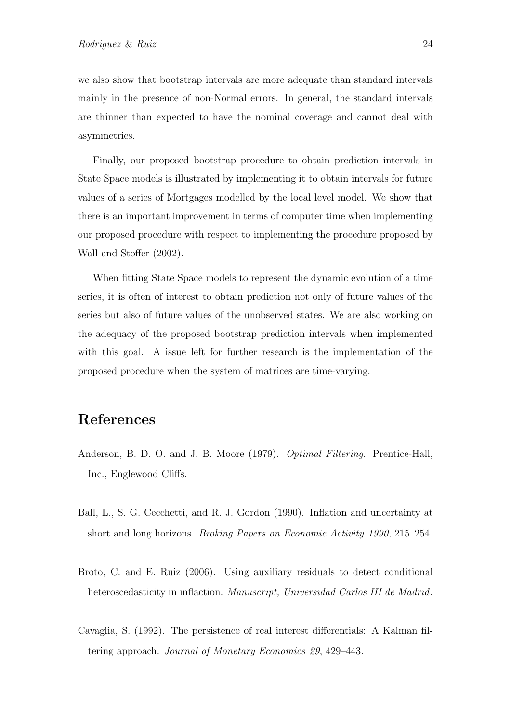we also show that bootstrap intervals are more adequate than standard intervals mainly in the presence of non-Normal errors. In general, the standard intervals are thinner than expected to have the nominal coverage and cannot deal with asymmetries.

Finally, our proposed bootstrap procedure to obtain prediction intervals in State Space models is illustrated by implementing it to obtain intervals for future values of a series of Mortgages modelled by the local level model. We show that there is an important improvement in terms of computer time when implementing our proposed procedure with respect to implementing the procedure proposed by [Wall and Stoffer](#page-26-0) [\(2002\)](#page-26-0).

When fitting State Space models to represent the dynamic evolution of a time series, it is often of interest to obtain prediction not only of future values of the series but also of future values of the unobserved states. We are also working on the adequacy of the proposed bootstrap prediction intervals when implemented with this goal. A issue left for further research is the implementation of the proposed procedure when the system of matrices are time-varying.

# References

- <span id="page-24-3"></span>Anderson, B. D. O. and J. B. Moore (1979). Optimal Filtering. Prentice-Hall, Inc., Englewood Cliffs.
- <span id="page-24-0"></span>Ball, L., S. G. Cecchetti, and R. J. Gordon (1990). Inflation and uncertainty at short and long horizons. Broking Papers on Economic Activity 1990, 215–254.
- <span id="page-24-1"></span>Broto, C. and E. Ruiz (2006). Using auxiliary residuals to detect conditional heteroscedasticity in inflaction. Manuscript, Universidad Carlos III de Madrid.
- <span id="page-24-2"></span>Cavaglia, S. (1992). The persistence of real interest differentials: A Kalman filtering approach. Journal of Monetary Economics 29, 429–443.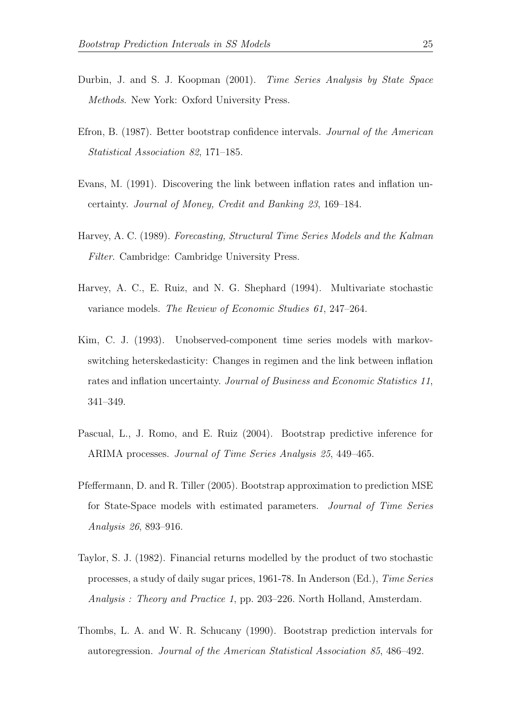- <span id="page-25-1"></span>Durbin, J. and S. J. Koopman (2001). Time Series Analysis by State Space Methods. New York: Oxford University Press.
- <span id="page-25-9"></span>Efron, B. (1987). Better bootstrap confidence intervals. Journal of the American Statistical Association 82, 171–185.
- <span id="page-25-2"></span>Evans, M. (1991). Discovering the link between inflation rates and inflation uncertainty. Journal of Money, Credit and Banking 23, 169–184.
- <span id="page-25-0"></span>Harvey, A. C. (1989). Forecasting, Structural Time Series Models and the Kalman Filter. Cambridge: Cambridge University Press.
- <span id="page-25-5"></span>Harvey, A. C., E. Ruiz, and N. G. Shephard (1994). Multivariate stochastic variance models. The Review of Economic Studies 61, 247–264.
- <span id="page-25-3"></span>Kim, C. J. (1993). Unobserved-component time series models with markovswitching heterskedasticity: Changes in regimen and the link between inflation rates and inflation uncertainty. Journal of Business and Economic Statistics 11, 341–349.
- <span id="page-25-7"></span>Pascual, L., J. Romo, and E. Ruiz (2004). Bootstrap predictive inference for ARIMA processes. Journal of Time Series Analysis 25, 449–465.
- <span id="page-25-8"></span>Pfeffermann, D. and R. Tiller (2005). Bootstrap approximation to prediction MSE for State-Space models with estimated parameters. Journal of Time Series Analysis 26, 893–916.
- <span id="page-25-4"></span>Taylor, S. J. (1982). Financial returns modelled by the product of two stochastic processes, a study of daily sugar prices, 1961-78. In Anderson (Ed.), Time Series Analysis : Theory and Practice 1, pp. 203–226. North Holland, Amsterdam.
- <span id="page-25-6"></span>Thombs, L. A. and W. R. Schucany (1990). Bootstrap prediction intervals for autoregression. Journal of the American Statistical Association 85, 486–492.